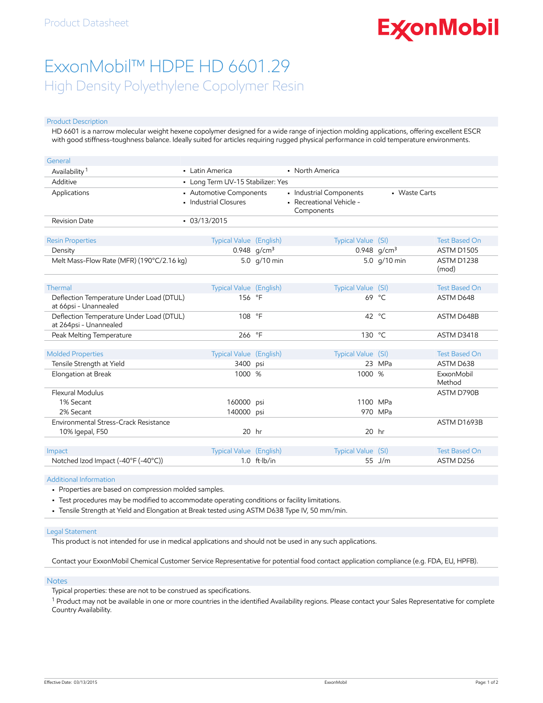# **ExconMobil**

## ExxonMobil™ HDPE HD 6601.29 High Density Polyethylene Copolymer Resin

#### Product Description

HD 6601 is a narrow molecular weight hexene copolymer designed for a wide range of injection molding applications, offering excellent ESCR with good stiffness-toughness balance. Ideally suited for articles requiring rugged physical performance in cold temperature environments.

| General                                                            |                                                  |                        |                                                                   |                |                      |
|--------------------------------------------------------------------|--------------------------------------------------|------------------------|-------------------------------------------------------------------|----------------|----------------------|
| Availability <sup>1</sup>                                          | • Latin America                                  |                        | • North America                                                   |                |                      |
| Additive                                                           | • Long Term UV-15 Stabilizer: Yes                |                        |                                                                   |                |                      |
| Applications                                                       | • Automotive Components<br>• Industrial Closures |                        | · Industrial Components<br>- Recreational Vehicle -<br>Components | • Waste Carts  |                      |
| <b>Revision Date</b>                                               | $-03/13/2015$                                    |                        |                                                                   |                |                      |
| <b>Resin Properties</b>                                            | Typical Value (English)                          |                        | Typical Value (SI)                                                |                | <b>Test Based On</b> |
| Density                                                            |                                                  | 0.948 $q/cm^3$         |                                                                   | 0.948 $q/cm^3$ | <b>ASTM D1505</b>    |
| Melt Mass-Flow Rate (MFR) (190°C/2.16 kg)                          |                                                  | 5.0 g/10 min           |                                                                   | 5.0 g/10 min   | ASTM D1238<br>(mod)  |
| Thermal                                                            | Typical Value (English)                          |                        | Typical Value (SI)                                                |                | <b>Test Based On</b> |
| Deflection Temperature Under Load (DTUL)<br>at 66psi - Unannealed  | 156 °F                                           |                        |                                                                   | 69 °C          | ASTM D648            |
| Deflection Temperature Under Load (DTUL)<br>at 264psi - Unannealed | 108 °F                                           |                        |                                                                   | 42 °C          | ASTM D648B           |
| Peak Melting Temperature                                           | 266                                              | $^{\circ}$ F           | 130 °C                                                            |                | ASTM D3418           |
|                                                                    |                                                  |                        |                                                                   |                |                      |
| <b>Molded Properties</b>                                           | <b>Typical Value (English)</b>                   |                        | Typical Value (SI)                                                |                | <b>Test Based On</b> |
| Tensile Strength at Yield                                          | 3400                                             | psi                    |                                                                   | 23 MPa         | ASTM D638            |
| Elongation at Break                                                | 1000 %                                           |                        | 1000 %                                                            |                | ExxonMobil<br>Method |
| Flexural Modulus                                                   |                                                  |                        |                                                                   |                | ASTM D790B           |
| 1% Secant                                                          | 160000                                           | psi                    | 1100 MPa                                                          |                |                      |
| 2% Secant                                                          | 140000 psi                                       |                        |                                                                   | 970 MPa        |                      |
| Environmental Stress-Crack Resistance                              |                                                  |                        |                                                                   |                | ASTM D1693B          |
| 10% Igepal, F50                                                    | $20$ hr                                          |                        | $20$ hr                                                           |                |                      |
|                                                                    |                                                  |                        |                                                                   |                |                      |
| Impact                                                             | <b>Typical Value (English)</b>                   |                        | Typical Value (SI)                                                |                | <b>Test Based On</b> |
| Notched Izod Impact (-40°F (-40°C))                                |                                                  | $1.0$ ft $\cdot$ lb/in |                                                                   | 55 $J/m$       | ASTM D256            |

Additional Information

- Properties are based on compression molded samples.
- Test procedures may be modified to accommodate operating conditions or facility limitations.
- Tensile Strength at Yield and Elongation at Break tested using ASTM D638 Type IV, 50 mm/min.

#### Legal Statement

This product is not intended for use in medical applications and should not be used in any such applications.

Contact your ExxonMobil Chemical Customer Service Representative for potential food contact application compliance (e.g. FDA, EU, HPFB).

#### Notes

Typical properties: these are not to be construed as specifications.

 $^1$  Product may not be available in one or more countries in the identified Availability regions. Please contact your Sales Representative for complete Country Availability.